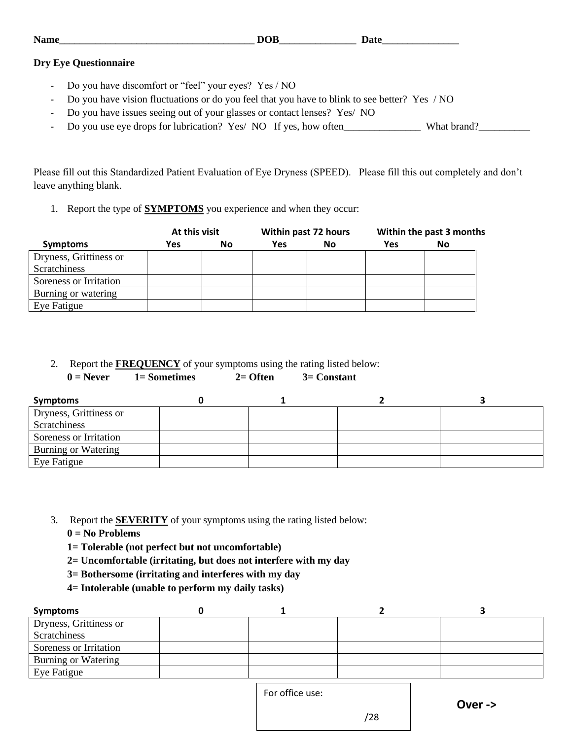| ъT<br>™an. | -<br>- | -- |
|------------|--------|----|
|            |        |    |

### **Dry Eye Questionnaire**

- Do you have discomfort or "feel" your eyes? Yes / NO
- Do you have vision fluctuations or do you feel that you have to blink to see better? Yes / NO
- Do you have issues seeing out of your glasses or contact lenses? Yes/ NO
- Do you use eye drops for lubrication? Yes/ NO If yes, how often\_\_\_\_\_\_\_\_\_\_\_\_\_\_\_\_\_ What brand?\_\_\_\_\_\_\_\_\_\_\_\_\_\_\_\_\_\_

Please fill out this Standardized Patient Evaluation of Eye Dryness (SPEED). Please fill this out completely and don't leave anything blank.

1. Report the type of **SYMPTOMS** you experience and when they occur:

|                        | At this visit |    |     | Within past 72 hours |     | Within the past 3 months |
|------------------------|---------------|----|-----|----------------------|-----|--------------------------|
| <b>Symptoms</b>        | Yes           | No | Yes | <b>No</b>            | Yes | No                       |
| Dryness, Grittiness or |               |    |     |                      |     |                          |
| Scratchiness           |               |    |     |                      |     |                          |
| Soreness or Irritation |               |    |     |                      |     |                          |
| Burning or watering    |               |    |     |                      |     |                          |
| Eye Fatigue            |               |    |     |                      |     |                          |

2. Report the **FREQUENCY** of your symptoms using the rating listed below:

**0 = Never 1= Sometimes 2= Often 3= Constant** 

| Symptoms               |  |  |
|------------------------|--|--|
| Dryness, Grittiness or |  |  |
| Scratchiness           |  |  |
| Soreness or Irritation |  |  |
| Burning or Watering    |  |  |
| Eye Fatigue            |  |  |

- 3. Report the **SEVERITY** of your symptoms using the rating listed below:
	- **0 = No Problems**
	- **1= Tolerable (not perfect but not uncomfortable)**
	- **2= Uncomfortable (irritating, but does not interfere with my day**
	- **3= Bothersome (irritating and interferes with my day**
	- **4= Intolerable (unable to perform my daily tasks)**

| Symptoms                   |  |  |
|----------------------------|--|--|
| Dryness, Grittiness or     |  |  |
| Scratchiness               |  |  |
| Soreness or Irritation     |  |  |
| <b>Burning or Watering</b> |  |  |
| Eye Fatigue                |  |  |
|                            |  |  |

For office use:

/28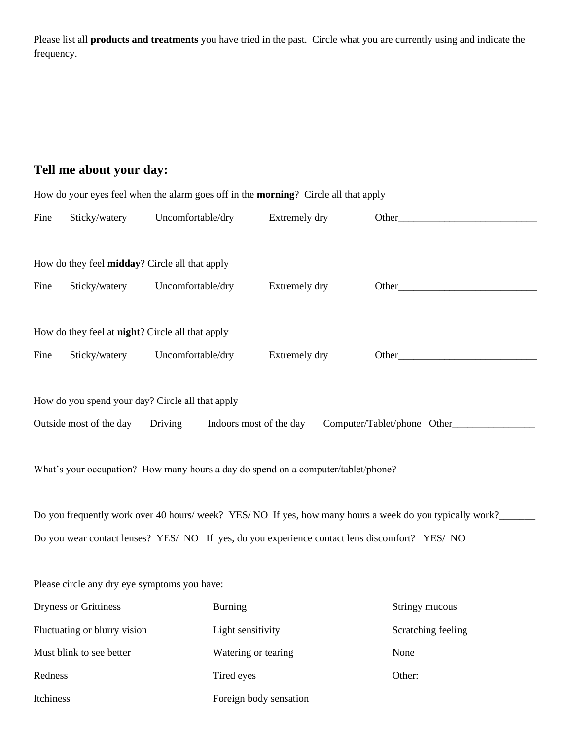Please list all **products and treatments** you have tried in the past. Circle what you are currently using and indicate the frequency.

# **Tell me about your day:**

| How do your eyes feel when the alarm goes off in the <b>morning</b> ? Circle all that apply              |                                              |                                                                                   |               |                                                                                                                                                                                                                                |  |
|----------------------------------------------------------------------------------------------------------|----------------------------------------------|-----------------------------------------------------------------------------------|---------------|--------------------------------------------------------------------------------------------------------------------------------------------------------------------------------------------------------------------------------|--|
| Fine                                                                                                     | Sticky/watery                                | Uncomfortable/dry                                                                 | Extremely dry | Other Manual Communication of the Communication of the Communication of the Communication of the Communication of the Communication of the Communication of the Communication of the Communication of the Communication of the |  |
|                                                                                                          |                                              |                                                                                   |               |                                                                                                                                                                                                                                |  |
|                                                                                                          |                                              | How do they feel midday? Circle all that apply                                    |               |                                                                                                                                                                                                                                |  |
| Fine                                                                                                     | Sticky/watery                                | Uncomfortable/dry                                                                 | Extremely dry | Other                                                                                                                                                                                                                          |  |
|                                                                                                          |                                              |                                                                                   |               |                                                                                                                                                                                                                                |  |
|                                                                                                          |                                              | How do they feel at <b>night</b> ? Circle all that apply                          |               |                                                                                                                                                                                                                                |  |
| Fine                                                                                                     | Sticky/watery                                | Uncomfortable/dry                                                                 | Extremely dry | Other and the contract of the contract of the contract of the contract of the contract of the contract of the contract of the contract of the contract of the contract of the contract of the contract of the contract of the  |  |
|                                                                                                          |                                              |                                                                                   |               |                                                                                                                                                                                                                                |  |
|                                                                                                          |                                              | How do you spend your day? Circle all that apply                                  |               |                                                                                                                                                                                                                                |  |
| Outside most of the day Driving<br>Indoors most of the day<br>Computer/Tablet/phone Other________        |                                              |                                                                                   |               |                                                                                                                                                                                                                                |  |
|                                                                                                          |                                              |                                                                                   |               |                                                                                                                                                                                                                                |  |
|                                                                                                          |                                              | What's your occupation? How many hours a day do spend on a computer/tablet/phone? |               |                                                                                                                                                                                                                                |  |
|                                                                                                          |                                              |                                                                                   |               |                                                                                                                                                                                                                                |  |
| Do you frequently work over 40 hours/ week? YES/ NO If yes, how many hours a week do you typically work? |                                              |                                                                                   |               |                                                                                                                                                                                                                                |  |
| Do you wear contact lenses? YES/ NO If yes, do you experience contact lens discomfort? YES/ NO           |                                              |                                                                                   |               |                                                                                                                                                                                                                                |  |
|                                                                                                          |                                              |                                                                                   |               |                                                                                                                                                                                                                                |  |
|                                                                                                          | Please circle any dry eye symptoms you have: |                                                                                   |               |                                                                                                                                                                                                                                |  |

| Dryness or Grittiness        | <b>Burning</b>         | Stringy mucous     |
|------------------------------|------------------------|--------------------|
| Fluctuating or blurry vision | Light sensitivity      | Scratching feeling |
| Must blink to see better     | Watering or tearing    | None               |
| Redness                      | Tired eyes             | Other:             |
| <b>Itchiness</b>             | Foreign body sensation |                    |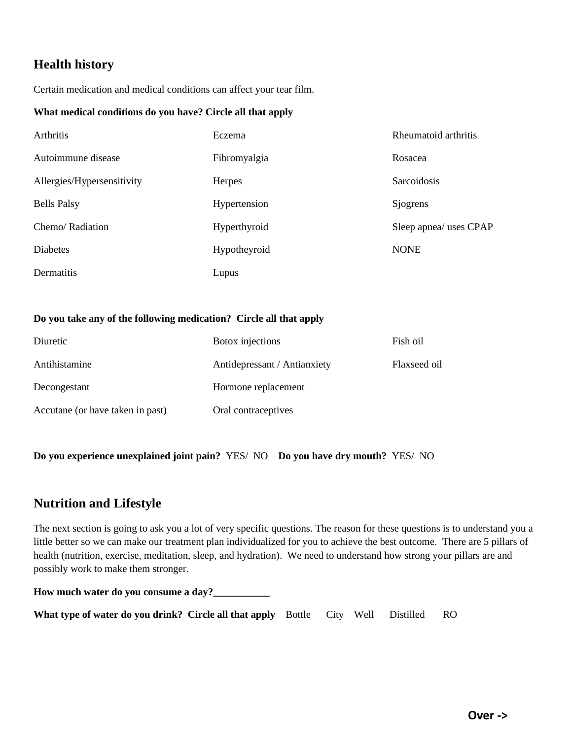# **Health history**

Certain medication and medical conditions can affect your tear film.

#### **What medical conditions do you have? Circle all that apply**

| Arthritis                  | Eczema        | Rheumatoid arthritis   |
|----------------------------|---------------|------------------------|
| Autoimmune disease         | Fibromyalgia  | Rosacea                |
| Allergies/Hypersensitivity | <b>Herpes</b> | Sarcoidosis            |
| <b>Bells Palsy</b>         | Hypertension  | Sjogrens               |
| Chemo/Radiation            | Hyperthyroid  | Sleep apnea/ uses CPAP |
| <b>Diabetes</b>            | Hypotheyroid  | <b>NONE</b>            |
| Dermatitis                 | Lupus         |                        |

### **Do you take any of the following medication? Circle all that apply**

| Diuretic                         | Botox injections             | Fish oil     |
|----------------------------------|------------------------------|--------------|
| Antihistamine                    | Antidepressant / Antianxiety | Flaxseed oil |
| Decongestant                     | Hormone replacement          |              |
| Accutane (or have taken in past) | Oral contraceptives          |              |

**Do you experience unexplained joint pain?** YES/ NO **Do you have dry mouth?** YES/ NO

### **Nutrition and Lifestyle**

The next section is going to ask you a lot of very specific questions. The reason for these questions is to understand you a little better so we can make our treatment plan individualized for you to achieve the best outcome. There are 5 pillars of health (nutrition, exercise, meditation, sleep, and hydration). We need to understand how strong your pillars are and possibly work to make them stronger.

**How much water do you consume a day?\_\_\_\_\_\_\_\_\_\_\_ What type of water do you drink? Circle all that apply** Bottle City Well Distilled RO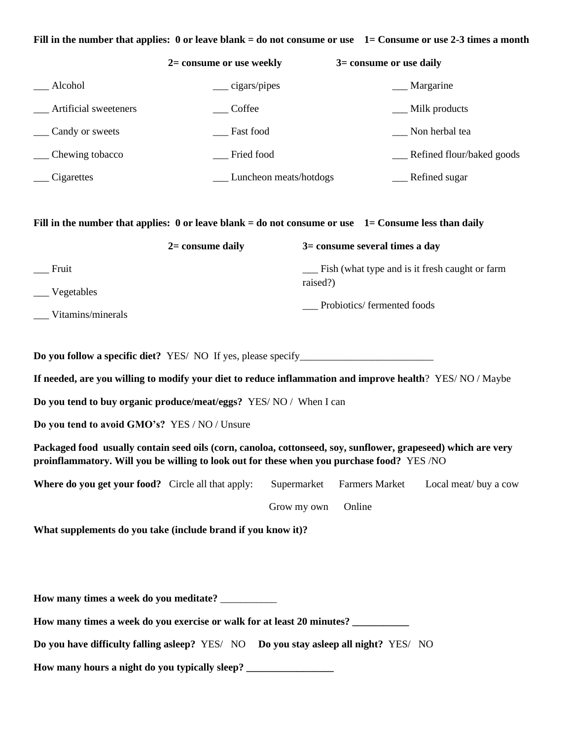#### **Fill in the number that applies: 0 or leave blank = do not consume or use 1= Consume or use 2-3 times a month**

|                       | $2=$ consume or use weekly | $3 =$ consume or use daily |
|-----------------------|----------------------------|----------------------------|
| Alcohol               | $\equiv$ cigars/pipes      | Margarine                  |
| Artificial sweeteners | Coffee                     | Milk products              |
| Candy or sweets       | Fast food                  | Non herbal tea             |
| Chewing tobacco       | Fried food                 | Refined flour/baked goods  |
| Cigarettes            | Luncheon meats/hotdogs     | Refined sugar              |

#### **Fill in the number that applies: 0 or leave blank = do not consume or use 1= Consume less than daily**

|                   | $2=$ consume daily | $3 =$ consume several times a day                |
|-------------------|--------------------|--------------------------------------------------|
| Fruit             |                    | - Fish (what type and is it fresh caught or farm |
| ____ Vegetables   |                    | raised?)                                         |
| Vitamins/minerals |                    | Probiotics/fermented foods                       |
|                   |                    |                                                  |

**Do you follow a specific diet?** YES/ NO If yes, please specify\_\_\_\_\_\_\_\_\_\_\_\_\_\_\_\_\_\_\_\_\_\_\_\_\_\_

**If needed, are you willing to modify your diet to reduce inflammation and improve health**? YES/ NO / Maybe

**Do you tend to buy organic produce/meat/eggs?** YES/ NO / When I can

**Do you tend to avoid GMO's?** YES / NO / Unsure

**Packaged food usually contain seed oils (corn, canoloa, cottonseed, soy, sunflower, grapeseed) which are very proinflammatory. Will you be willing to look out for these when you purchase food?** YES /NO

**Where do you get your food?** Circle all that apply: Supermarket Farmers Market Local meat/ buy a cow

Grow my own Online

**What supplements do you take (include brand if you know it)?** 

**How many times a week do you meditate?** \_\_\_\_\_\_\_\_\_\_\_

**How many times a week do you exercise or walk for at least 20 minutes? \_\_\_\_\_\_\_\_\_\_\_**

**Do you have difficulty falling asleep?** YES/ NO **Do you stay asleep all night?** YES/ NO

**How many hours a night do you typically sleep? \_\_\_\_\_\_\_\_\_\_\_\_\_\_\_\_\_**